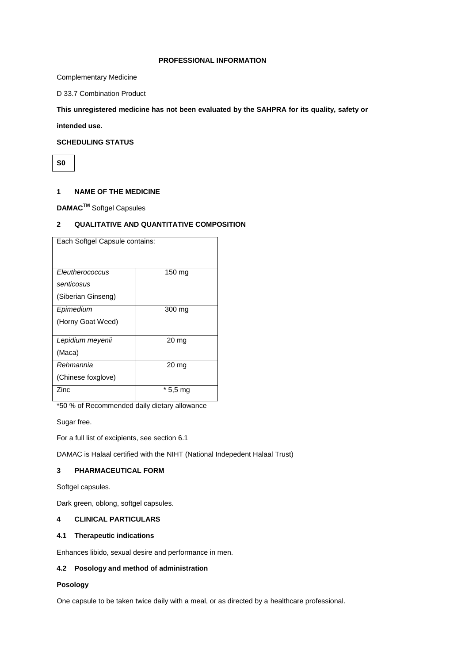#### **PROFESSIONAL INFORMATION**

Complementary Medicine

D 33.7 Combination Product

**This unregistered medicine has not been evaluated by the SAHPRA for its quality, safety or** 

**intended use.**

# **SCHEDULING STATUS**

**S0**

# **1 NAME OF THE MEDICINE**

**DAMACTM** Softgel Capsules

# **2 QUALITATIVE AND QUANTITATIVE COMPOSITION**

| Each Softgel Capsule contains: |          |
|--------------------------------|----------|
|                                |          |
| Eleutherococcus                | 150 mg   |
| senticosus                     |          |
| (Siberian Ginseng)             |          |
| Epimedium                      | 300 mg   |
| (Horny Goat Weed)              |          |
| Lepidium meyenii               | 20 mg    |
| (Maca)                         |          |
| Rehmannia                      | 20 mg    |
| (Chinese foxglove)             |          |
| <b>Zinc</b>                    | * 5,5 mg |

\*50 % of Recommended daily dietary allowance

Sugar free.

For a full list of excipients, see section 6.1

DAMAC is Halaal certified with the NIHT (National Indepedent Halaal Trust)

# **3 PHARMACEUTICAL FORM**

Softgel capsules.

Dark green, oblong, softgel capsules.

#### **4 CLINICAL PARTICULARS**

#### **4.1 Therapeutic indications**

Enhances libido, sexual desire and performance in men.

### **4.2 Posology and method of administration**

#### **Posology**

One capsule to be taken twice daily with a meal, or as directed by a healthcare professional.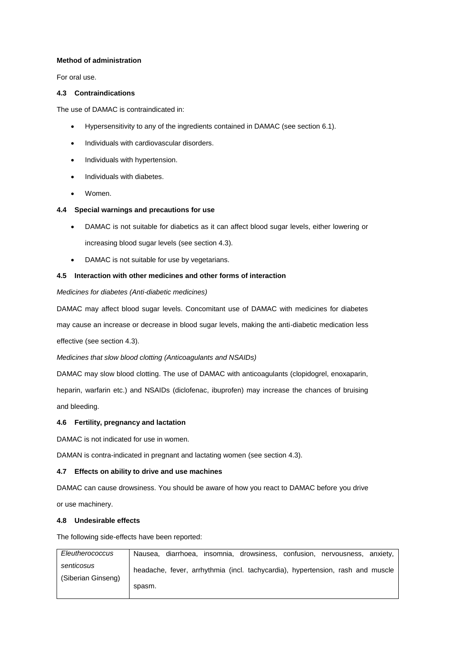# **Method of administration**

For oral use.

### **4.3 Contraindications**

The use of DAMAC is contraindicated in:

- Hypersensitivity to any of the ingredients contained in DAMAC (see section 6.1).
- Individuals with cardiovascular disorders.
- Individuals with hypertension.
- Individuals with diabetes.
- Women.

### **4.4 Special warnings and precautions for use**

- DAMAC is not suitable for diabetics as it can affect blood sugar levels, either lowering or increasing blood sugar levels (see section 4.3).
- DAMAC is not suitable for use by vegetarians.

### **4.5 Interaction with other medicines and other forms of interaction**

### *Medicines for diabetes (Anti-diabetic medicines)*

DAMAC may affect blood sugar levels. Concomitant use of DAMAC with medicines for diabetes may cause an increase or decrease in blood sugar levels, making the anti-diabetic medication less effective (see section 4.3).

*Medicines that slow blood clotting (Anticoagulants and NSAIDs)* 

DAMAC may slow blood clotting. The use of DAMAC with anticoagulants (clopidogrel, enoxaparin,

heparin, warfarin etc.) and NSAIDs (diclofenac, ibuprofen) may increase the chances of bruising and bleeding.

# **4.6 Fertility, pregnancy and lactation**

DAMAC is not indicated for use in women.

DAMAN is contra-indicated in pregnant and lactating women (see section 4.3).

#### **4.7 Effects on ability to drive and use machines**

DAMAC can cause drowsiness. You should be aware of how you react to DAMAC before you drive or use machinery.

# **4.8 Undesirable effects**

The following side-effects have been reported:

| Eleutherococcus    | diarrhoea, insomnia, drowsiness, confusion, nervousness, anxiety,<br>Nausea.   |
|--------------------|--------------------------------------------------------------------------------|
| senticosus         | headache, fever, arrhythmia (incl. tachycardia), hypertension, rash and muscle |
| (Siberian Ginseng) | spasm.                                                                         |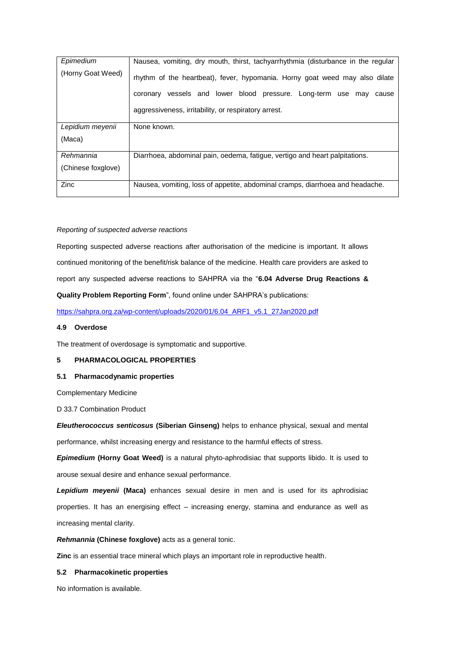| Epimedium          | Nausea, vomiting, dry mouth, thirst, tachyarrhythmia (disturbance in the regular |
|--------------------|----------------------------------------------------------------------------------|
| (Horny Goat Weed)  | rhythm of the heartbeat), fever, hypomania. Horny goat weed may also dilate      |
|                    | vessels and lower blood pressure. Long-term use may<br>coronary<br>cause         |
|                    | aggressiveness, irritability, or respiratory arrest.                             |
| Lepidium meyenii   | None known.                                                                      |
| (Maca)             |                                                                                  |
| Rehmannia          | Diarrhoea, abdominal pain, oedema, fatigue, vertigo and heart palpitations.      |
| (Chinese foxglove) |                                                                                  |
| Zinc               | Nausea, vomiting, loss of appetite, abdominal cramps, diarrhoea and headache.    |

### *Reporting of suspected adverse reactions*

Reporting suspected adverse reactions after authorisation of the medicine is important. It allows continued monitoring of the benefit/risk balance of the medicine. Health care providers are asked to report any suspected adverse reactions to SAHPRA via the "**6.04 Adverse Drug Reactions & Quality Problem Reporting Form**", found online under SAHPRA's publications:

[https://sahpra.org.za/wp-content/uploads/2020/01/6.04\\_ARF1\\_v5.1\\_27Jan2020.pdf](https://sahpra.org.za/wp-content/uploads/2020/01/6.04_ARF1_v5.1_27Jan2020.pdf)

#### **4.9 Overdose**

The treatment of overdosage is symptomatic and supportive.

#### **5 PHARMACOLOGICAL PROPERTIES**

#### **5.1 Pharmacodynamic properties**

Complementary Medicine

D 33.7 Combination Product

*Eleutherococcus senticosus* **(Siberian Ginseng)** helps to enhance physical, sexual and mental performance, whilst increasing energy and resistance to the harmful effects of stress.

*Epimedium* **(Horny Goat Weed)** is a natural phyto-aphrodisiac that supports libido. It is used to arouse sexual desire and enhance sexual performance.

*Lepidium meyenii* **(Maca)** enhances sexual desire in men and is used for its aphrodisiac properties. It has an energising effect – increasing energy, stamina and endurance as well as increasing mental clarity.

## *Rehmannia* **(Chinese foxglove)** acts as a general tonic.

**Zinc** is an essential trace mineral which plays an important role in reproductive health.

# **5.2 Pharmacokinetic properties**

No information is available.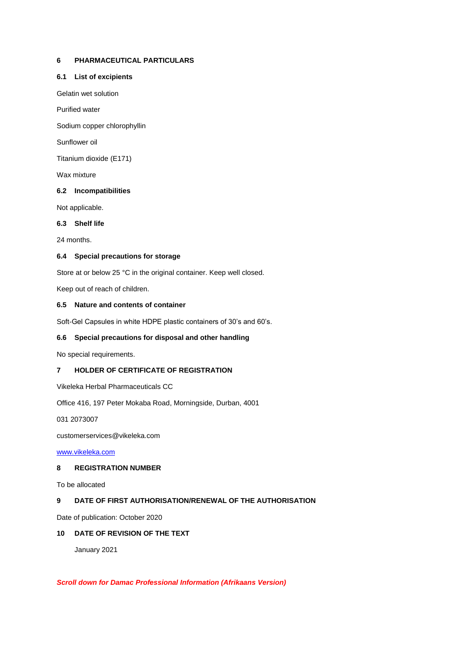# **6 PHARMACEUTICAL PARTICULARS**

## **6.1 List of excipients**

Gelatin wet solution

Purified water

Sodium copper chlorophyllin

Sunflower oil

Titanium dioxide (E171)

Wax mixture

# **6.2 Incompatibilities**

Not applicable.

### **6.3 Shelf life**

24 months.

# **6.4 Special precautions for storage**

Store at or below 25 °C in the original container. Keep well closed.

Keep out of reach of children.

### **6.5 Nature and contents of container**

Soft-Gel Capsules in white HDPE plastic containers of 30's and 60's.

# **6.6 Special precautions for disposal and other handling**

No special requirements.

# **7 HOLDER OF CERTIFICATE OF REGISTRATION**

Vikeleka Herbal Pharmaceuticals CC

Office 416, 197 Peter Mokaba Road, Morningside, Durban, 4001

031 2073007

customerservices@vikeleka.com

[www.vikeleka.com](http://www.vikeleka.com/)

# **8 REGISTRATION NUMBER**

To be allocated

# **9 DATE OF FIRST AUTHORISATION/RENEWAL OF THE AUTHORISATION**

Date of publication: October 2020

# **10 DATE OF REVISION OF THE TEXT**

January 2021

# *Scroll down for Damac Professional Information (Afrikaans Version)*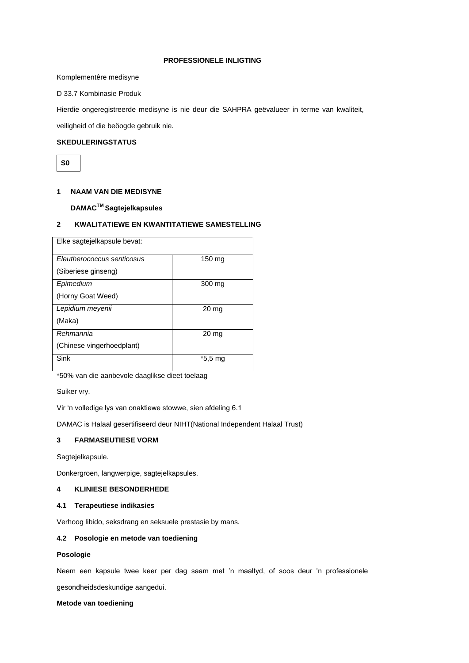#### **PROFESSIONELE INLIGTING**

Komplementêre medisyne

D 33.7 Kombinasie Produk

Hierdie ongeregistreerde medisyne is nie deur die SAHPRA geëvalueer in terme van kwaliteit,

veiligheid of die beöogde gebruik nie.

# **SKEDULERINGSTATUS**

**S0**

# **1 NAAM VAN DIE MEDISYNE**

# **DAMACTM Sagtejelkapsules**

# **2 KWALITATIEWE EN KWANTITATIEWE SAMESTELLING**

| Elke sagtejelkapsule bevat: |                  |
|-----------------------------|------------------|
| Eleutherococcus senticosus  | 150 mg           |
| (Siberiese ginseng)         |                  |
| Epimedium                   | 300 mg           |
| (Horny Goat Weed)           |                  |
| Lepidium meyenii            | $20 \mathrm{mg}$ |
| (Maka)                      |                  |
| Rehmannia                   | 20 <sub>mg</sub> |
| (Chinese vingerhoedplant)   |                  |
| Sink                        | *5.5 mg          |
|                             |                  |

\*50% van die aanbevole daaglikse dieet toelaag

Suiker vry.

Vir 'n volledige lys van onaktiewe stowwe, sien afdeling 6.1

DAMAC is Halaal gesertifiseerd deur NIHT(National Independent Halaal Trust)

# **3 FARMASEUTIESE VORM**

Sagtejelkapsule.

Donkergroen, langwerpige, sagtejelkapsules.

# **4 KLINIESE BESONDERHEDE**

### **4.1 Terapeutiese indikasies**

Verhoog libido, seksdrang en seksuele prestasie by mans.

# **4.2 Posologie en metode van toediening**

### **Posologie**

Neem een kapsule twee keer per dag saam met 'n maaltyd, of soos deur 'n professionele

gesondheidsdeskundige aangedui.

#### **Metode van toediening**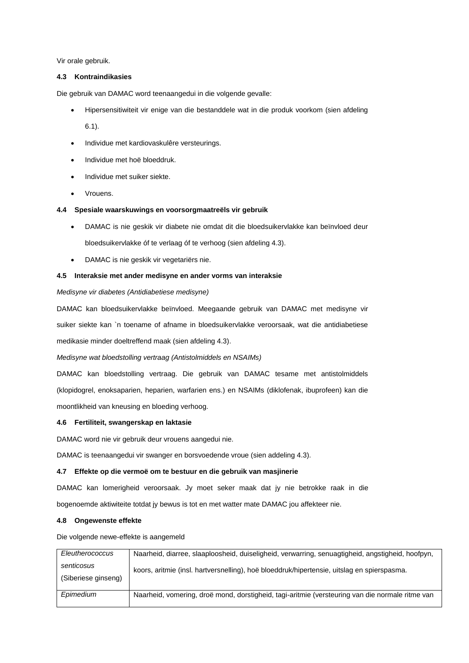Vir orale gebruik.

#### **4.3 Kontraindikasies**

Die gebruik van DAMAC word teenaangedui in die volgende gevalle:

Hipersensitiwiteit vir enige van die bestanddele wat in die produk voorkom (sien afdeling

6.1).

- Individue met kardiovaskulêre versteurings.
- Individue met hoë bloeddruk.
- Individue met suiker siekte.
- Vrouens.

#### **4.4 Spesiale waarskuwings en voorsorgmaatreëls vir gebruik**

- DAMAC is nie geskik vir diabete nie omdat dit die bloedsuikervlakke kan beïnvloed deur bloedsuikervlakke óf te verlaag óf te verhoog (sien afdeling 4.3).
- DAMAC is nie geskik vir vegetariërs nie.

### **4.5 Interaksie met ander medisyne en ander vorms van interaksie**

#### *Medisyne vir diabetes (Antidiabetiese medisyne)*

DAMAC kan bloedsuikervlakke beïnvloed. Meegaande gebruik van DAMAC met medisyne vir suiker siekte kan `n toename of afname in bloedsuikervlakke veroorsaak, wat die antidiabetiese medikasie minder doeltreffend maak (sien afdeling 4.3).

*Medisyne wat bloedstolling vertraag (Antistolmiddels en NSAIMs)* 

DAMAC kan bloedstolling vertraag. Die gebruik van DAMAC tesame met antistolmiddels (klopidogrel, enoksaparien, heparien, warfarien ens.) en NSAIMs (diklofenak, ibuprofeen) kan die moontlikheid van kneusing en bloeding verhoog.

#### **4.6 Fertiliteit, swangerskap en laktasie**

DAMAC word nie vir gebruik deur vrouens aangedui nie.

DAMAC is teenaangedui vir swanger en borsvoedende vroue (sien addeling 4.3).

#### **4.7 Effekte op die vermoë om te bestuur en die gebruik van masjinerie**

DAMAC kan lomerigheid veroorsaak. Jy moet seker maak dat jy nie betrokke raak in die bogenoemde aktiwiteite totdat jy bewus is tot en met watter mate DAMAC jou affekteer nie.

# **4.8 Ongewenste effekte**

Die volgende newe-effekte is aangemeld

| Eleutherococcus     | Naarheid, diarree, slaaploosheid, duiseligheid, verwarring, senuagtigheid, angstigheid, hoofpyn, |
|---------------------|--------------------------------------------------------------------------------------------------|
| senticosus          | koors, aritmie (insl. hartversnelling), hoë bloeddruk/hipertensie, uitslag en spierspasma.       |
| (Siberiese ginseng) |                                                                                                  |
|                     |                                                                                                  |
| Epimedium           | Naarheid, vomering, droë mond, dorstigheid, tagi-aritmie (versteuring van die normale ritme van  |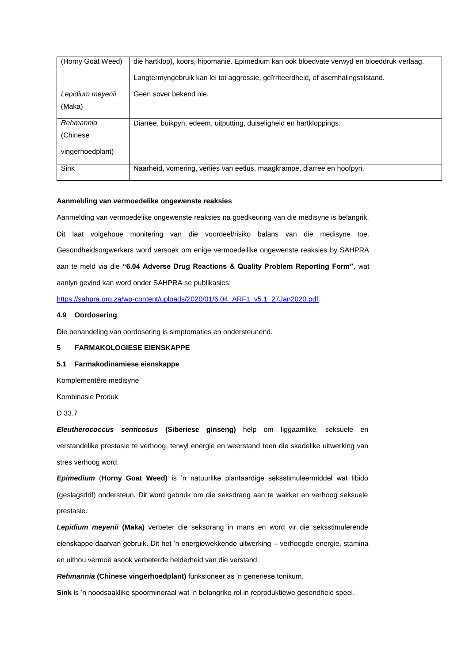| (Horny Goat Weed) | die hartklop), koors, hipomanie. Epimedium kan ook bloedvate verwyd en bloeddruk verlaag. |
|-------------------|-------------------------------------------------------------------------------------------|
|                   | Langtermyngebruik kan lei tot aggressie, geïrriteerdheid, of asemhalingstilstand.         |
| Lepidium meyenii  | Geen sover bekend nie.                                                                    |
| (Maka)            |                                                                                           |
| Rehmannia         | Diarree, buikpyn, edeem, uitputting, duiseligheid en hartkloppings.                       |
| (Chinese)         |                                                                                           |
| vingerhoedplant)  |                                                                                           |
| Sink              | Naarheid, vomering, verlies van eetlus, maagkrampe, diarree en hoofpyn.                   |

#### **Aanmelding van vermoedelike ongewenste reaksies**

Aanmelding van vermoedelike ongewenste reaksies na goedkeuring van die medisyne is belangrik. Dit laat volgehoue monitering van die voordeel/risiko balans van die medisyne toe. Gesondheidsorgwerkers word versoek om enige vermoedeilike ongewenste reaksies by SAHPRA aan te meld via die **"6.04 Adverse Drug Reactions & Quality Problem Reporting Form"**, wat aanlyn gevind kan word onder SAHPRA se publikasies:

https://sahpra.org.za/wp-content/uploads/2020/01/6.04 ARF1\_v5.1\_27Jan2020.pdf.

#### **4.9 Oordosering**

Die behandeling van oordosering is simptomaties en ondersteunend.

### **5 FARMAKOLOGIESE EIENSKAPPE**

#### **5.1 Farmakodinamiese eienskappe**

Komplementêre medisyne

Kombinasie Produk

D 33.7

*Eleutherococcus senticosus* **(Siberiese ginseng)** help om liggaamlike, seksuele en verstandelike prestasie te verhoog, terwyl energie en weerstand teen die skadelike uitwerking van stres verhoog word.

*Epimedium* (**Horny Goat Weed)** is 'n natuurlike plantaardige seksstimuleermiddel wat libido (geslagsdrif) ondersteun. Dit word gebruik om die seksdrang aan te wakker en verhoog seksuele prestasie.

*Lepidium meyenii* **(Maka)** verbeter die seksdrang in mans en word vir die seksstimulerende eienskappe daarvan gebruik. Dit het 'n energiewekkende uitwerking – verhoogde energie, stamina en uithou vermoë asook verbeterde helderheid van die verstand.

*Rehmannia* **(Chinese vingerhoedplant)** funksioneer as 'n generiese tonikum.

**Sink** is 'n noodsaaklike spoormineraal wat 'n belangrike rol in reproduktiewe gesondheid speel.